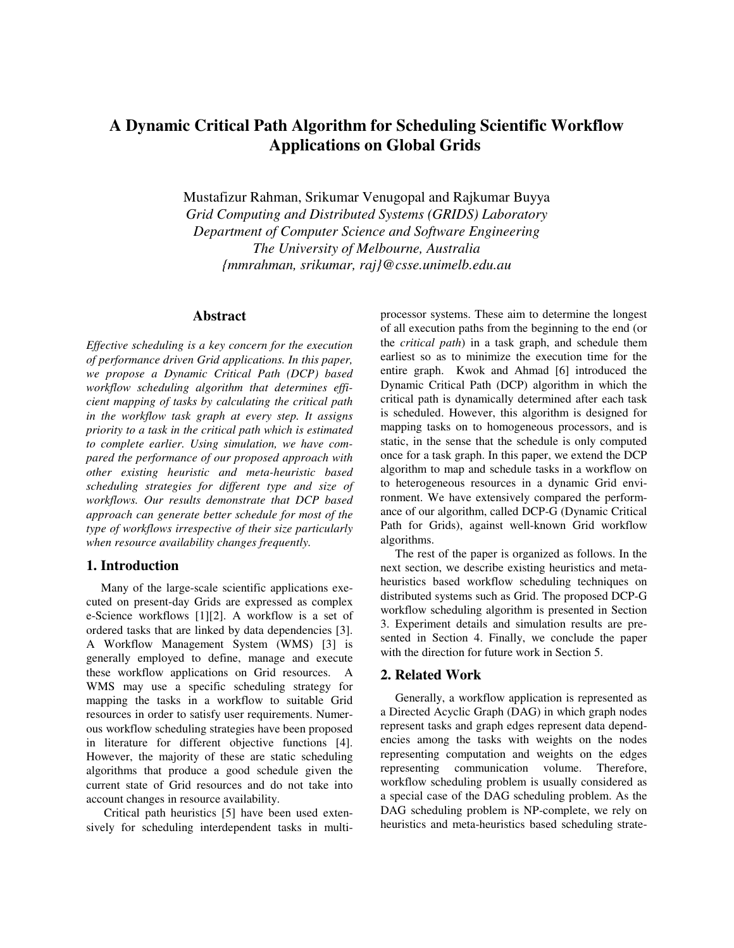# **A Dynamic Critical Path Algorithm for Scheduling Scientific Workflow Applications on Global Grids**

Mustafizur Rahman, Srikumar Venugopal and Rajkumar Buyya *Grid Computing and Distributed Systems (GRIDS) Laboratory Department of Computer Science and Software Engineering The University of Melbourne, Australia {mmrahman, srikumar, raj}@csse.unimelb.edu.au* 

# **Abstract**

*Effective scheduling is a key concern for the execution of performance driven Grid applications. In this paper, we propose a Dynamic Critical Path (DCP) based workflow scheduling algorithm that determines efficient mapping of tasks by calculating the critical path in the workflow task graph at every step. It assigns priority to a task in the critical path which is estimated to complete earlier. Using simulation, we have compared the performance of our proposed approach with other existing heuristic and meta-heuristic based scheduling strategies for different type and size of workflows. Our results demonstrate that DCP based approach can generate better schedule for most of the type of workflows irrespective of their size particularly when resource availability changes frequently.* 

# **1. Introduction**

Many of the large-scale scientific applications executed on present-day Grids are expressed as complex e-Science workflows [1][2]. A workflow is a set of ordered tasks that are linked by data dependencies [3]. A Workflow Management System (WMS) [3] is generally employed to define, manage and execute these workflow applications on Grid resources. A WMS may use a specific scheduling strategy for mapping the tasks in a workflow to suitable Grid resources in order to satisfy user requirements. Numerous workflow scheduling strategies have been proposed in literature for different objective functions [4]. However, the majority of these are static scheduling algorithms that produce a good schedule given the current state of Grid resources and do not take into account changes in resource availability.

 Critical path heuristics [5] have been used extensively for scheduling interdependent tasks in multi-

processor systems. These aim to determine the longest of all execution paths from the beginning to the end (or the *critical path*) in a task graph, and schedule them earliest so as to minimize the execution time for the entire graph. Kwok and Ahmad [6] introduced the Dynamic Critical Path (DCP) algorithm in which the critical path is dynamically determined after each task is scheduled. However, this algorithm is designed for mapping tasks on to homogeneous processors, and is static, in the sense that the schedule is only computed once for a task graph. In this paper, we extend the DCP algorithm to map and schedule tasks in a workflow on to heterogeneous resources in a dynamic Grid environment. We have extensively compared the performance of our algorithm, called DCP-G (Dynamic Critical Path for Grids), against well-known Grid workflow algorithms.

The rest of the paper is organized as follows. In the next section, we describe existing heuristics and metaheuristics based workflow scheduling techniques on distributed systems such as Grid. The proposed DCP-G workflow scheduling algorithm is presented in Section 3. Experiment details and simulation results are presented in Section 4. Finally, we conclude the paper with the direction for future work in Section 5.

#### **2. Related Work**

Generally, a workflow application is represented as a Directed Acyclic Graph (DAG) in which graph nodes represent tasks and graph edges represent data dependencies among the tasks with weights on the nodes representing computation and weights on the edges representing communication volume. Therefore, workflow scheduling problem is usually considered as a special case of the DAG scheduling problem. As the DAG scheduling problem is NP-complete, we rely on heuristics and meta-heuristics based scheduling strate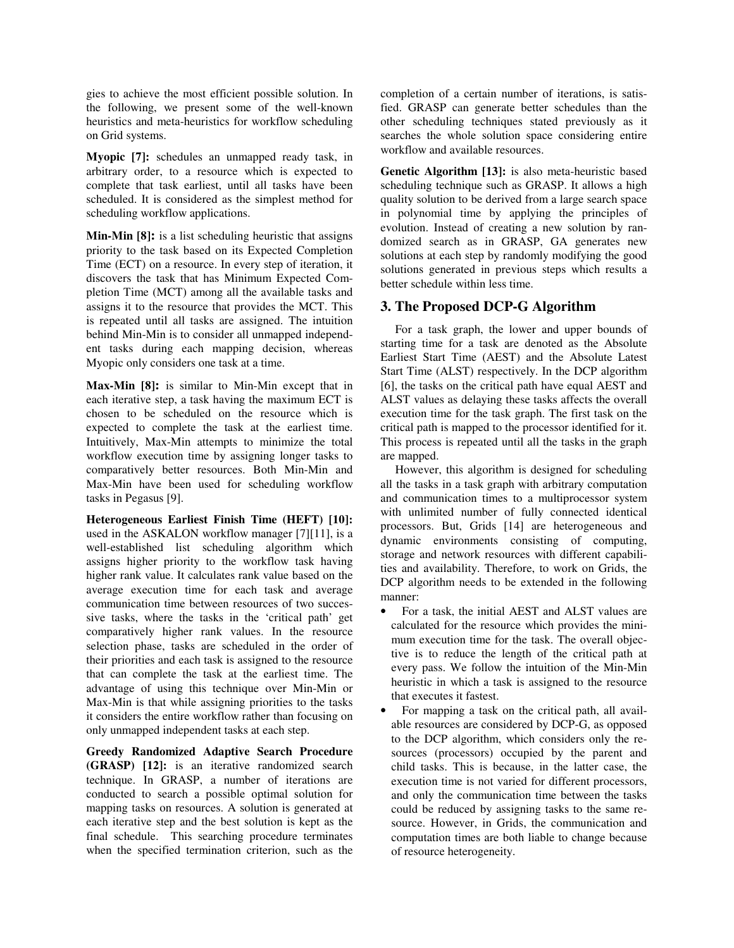gies to achieve the most efficient possible solution. In the following, we present some of the well-known heuristics and meta-heuristics for workflow scheduling on Grid systems.

**Myopic [7]:** schedules an unmapped ready task, in arbitrary order, to a resource which is expected to complete that task earliest, until all tasks have been scheduled. It is considered as the simplest method for scheduling workflow applications.

**Min-Min [8]:** is a list scheduling heuristic that assigns priority to the task based on its Expected Completion Time (ECT) on a resource. In every step of iteration, it discovers the task that has Minimum Expected Completion Time (MCT) among all the available tasks and assigns it to the resource that provides the MCT. This is repeated until all tasks are assigned. The intuition behind Min-Min is to consider all unmapped independent tasks during each mapping decision, whereas Myopic only considers one task at a time.

**Max-Min [8]:** is similar to Min-Min except that in each iterative step, a task having the maximum ECT is chosen to be scheduled on the resource which is expected to complete the task at the earliest time. Intuitively, Max-Min attempts to minimize the total workflow execution time by assigning longer tasks to comparatively better resources. Both Min-Min and Max-Min have been used for scheduling workflow tasks in Pegasus [9].

**Heterogeneous Earliest Finish Time (HEFT) [10]:** used in the ASKALON workflow manager [7][11], is a well-established list scheduling algorithm which assigns higher priority to the workflow task having higher rank value. It calculates rank value based on the average execution time for each task and average communication time between resources of two successive tasks, where the tasks in the 'critical path' get comparatively higher rank values. In the resource selection phase, tasks are scheduled in the order of their priorities and each task is assigned to the resource that can complete the task at the earliest time. The advantage of using this technique over Min-Min or Max-Min is that while assigning priorities to the tasks it considers the entire workflow rather than focusing on only unmapped independent tasks at each step.

**Greedy Randomized Adaptive Search Procedure (GRASP) [12]:** is an iterative randomized search technique. In GRASP, a number of iterations are conducted to search a possible optimal solution for mapping tasks on resources. A solution is generated at each iterative step and the best solution is kept as the final schedule. This searching procedure terminates when the specified termination criterion, such as the

completion of a certain number of iterations, is satisfied. GRASP can generate better schedules than the other scheduling techniques stated previously as it searches the whole solution space considering entire workflow and available resources.

**Genetic Algorithm [13]:** is also meta-heuristic based scheduling technique such as GRASP. It allows a high quality solution to be derived from a large search space in polynomial time by applying the principles of evolution. Instead of creating a new solution by randomized search as in GRASP, GA generates new solutions at each step by randomly modifying the good solutions generated in previous steps which results a better schedule within less time.

# **3. The Proposed DCP-G Algorithm**

For a task graph, the lower and upper bounds of starting time for a task are denoted as the Absolute Earliest Start Time (AEST) and the Absolute Latest Start Time (ALST) respectively. In the DCP algorithm [6], the tasks on the critical path have equal AEST and ALST values as delaying these tasks affects the overall execution time for the task graph. The first task on the critical path is mapped to the processor identified for it. This process is repeated until all the tasks in the graph are mapped.

However, this algorithm is designed for scheduling all the tasks in a task graph with arbitrary computation and communication times to a multiprocessor system with unlimited number of fully connected identical processors. But, Grids [14] are heterogeneous and dynamic environments consisting of computing, storage and network resources with different capabilities and availability. Therefore, to work on Grids, the DCP algorithm needs to be extended in the following manner:

- For a task, the initial AEST and ALST values are calculated for the resource which provides the minimum execution time for the task. The overall objective is to reduce the length of the critical path at every pass. We follow the intuition of the Min-Min heuristic in which a task is assigned to the resource that executes it fastest.
- For mapping a task on the critical path, all available resources are considered by DCP-G, as opposed to the DCP algorithm, which considers only the resources (processors) occupied by the parent and child tasks. This is because, in the latter case, the execution time is not varied for different processors, and only the communication time between the tasks could be reduced by assigning tasks to the same resource. However, in Grids, the communication and computation times are both liable to change because of resource heterogeneity.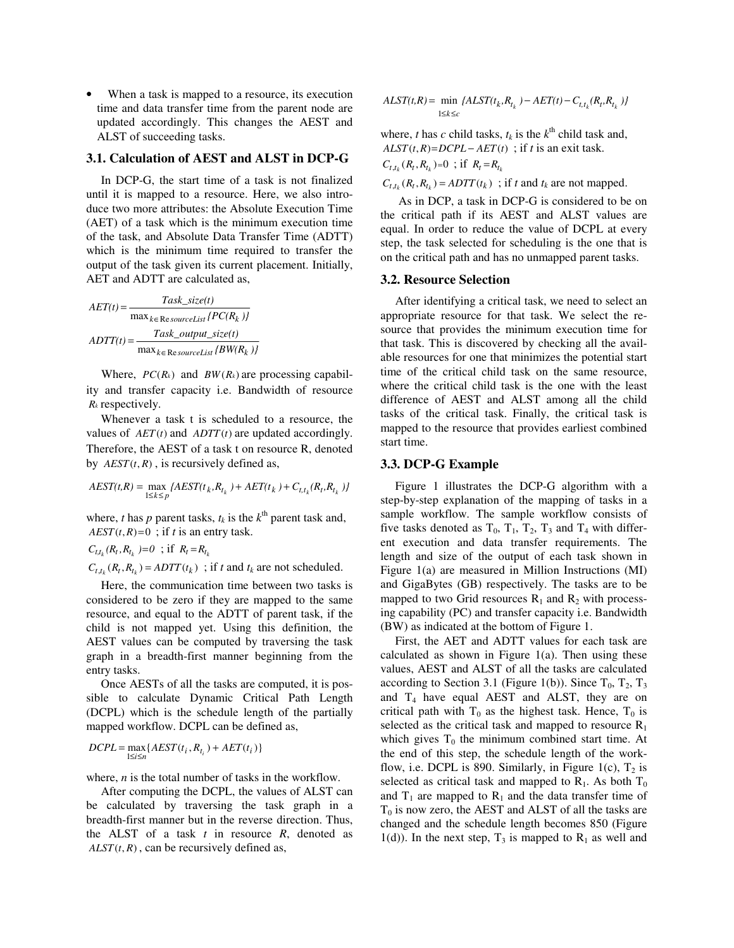When a task is mapped to a resource, its execution time and data transfer time from the parent node are updated accordingly. This changes the AEST and ALST of succeeding tasks.

#### **3.1. Calculation of AEST and ALST in DCP-G**

In DCP-G, the start time of a task is not finalized until it is mapped to a resource. Here, we also introduce two more attributes: the Absolute Execution Time (AET) of a task which is the minimum execution time of the task, and Absolute Data Transfer Time (ADTT) which is the minimum time required to transfer the output of the task given its current placement. Initially, AET and ADTT are calculated as,

$$
AET(t) = \frac{Task\_size(t)}{\max_{k \in \text{Re} sourceList} \{PC(R_k)\}}
$$

$$
ADTT(t) = \frac{Task\_output\_size(t)}{\max_{k \in \text{Re} sourceList} \{BW(R_k)\}}
$$

Where,  $PC(R_k)$  and  $BW(R_k)$  are processing capability and transfer capacity i.e. Bandwidth of resource *R<sup>k</sup>* respectively.

Whenever a task t is scheduled to a resource, the values of *AET*(*t*) and *ADTT*(*t*) are updated accordingly. Therefore, the AEST of a task t on resource R, denoted by  $AEST(t, R)$ , is recursively defined as,

$$
AEST(t, R) = \max_{1 \leq k \leq p} \{ AEST(t_k, R_{t_k}) + AET(t_k) + C_{t, t_k}(R_t, R_{t_k}) \}
$$

where, *t* has *p* parent tasks,  $t_k$  is the  $k^{\text{th}}$  parent task and,  $AEST(t, R) = 0$ ; if *t* is an entry task.

 $C_{t,t_k}(R_t, R_{t_k}) = 0$ ; if  $R_t = R_{t_k}$ 

 $C_{t,t_k}(R_t, R_{t_k}) = ADTT(t_k)$ ; if *t* and  $t_k$  are not scheduled.

Here, the communication time between two tasks is considered to be zero if they are mapped to the same resource, and equal to the ADTT of parent task, if the child is not mapped yet. Using this definition, the AEST values can be computed by traversing the task graph in a breadth-first manner beginning from the entry tasks.

Once AESTs of all the tasks are computed, it is possible to calculate Dynamic Critical Path Length (DCPL) which is the schedule length of the partially mapped workflow. DCPL can be defined as,

$$
DCPL = \max_{1 \leq i \leq n} \{ AEST(t_i, R_{t_i}) + AET(t_i) \}
$$

where, *n* is the total number of tasks in the workflow.

After computing the DCPL, the values of ALST can be calculated by traversing the task graph in a breadth-first manner but in the reverse direction. Thus, the ALST of a task *t* in resource *R*, denoted as  $ALST(t, R)$ , can be recursively defined as,

$$
\begin{aligned} ALST(t,R) = \min\limits_{1 \leq k \leq c}\{ALST(t_k,R_{t_k}) - AET(t) - C_{t,t_k}(R_t,R_{t_k})\} \end{aligned}
$$

where, *t* has *c* child tasks,  $t_k$  is the  $k^{\text{th}}$  child task and,  $ALST(t, R) = DCPL - AET(t)$ ; if *t* is an exit task.

$$
C_{t,t_k}(R_t, R_{t_k})=0
$$
; if  $R_t = R_{t_k}$ 

 $C_{t,t_k}(R_t, R_{t_k}) = ADTT(t_k)$ ; if *t* and  $t_k$  are not mapped.

 As in DCP, a task in DCP-G is considered to be on the critical path if its AEST and ALST values are equal. In order to reduce the value of DCPL at every step, the task selected for scheduling is the one that is on the critical path and has no unmapped parent tasks.

#### **3.2. Resource Selection**

After identifying a critical task, we need to select an appropriate resource for that task. We select the resource that provides the minimum execution time for that task. This is discovered by checking all the available resources for one that minimizes the potential start time of the critical child task on the same resource, where the critical child task is the one with the least difference of AEST and ALST among all the child tasks of the critical task. Finally, the critical task is mapped to the resource that provides earliest combined start time.

#### **3.3. DCP-G Example**

Figure 1 illustrates the DCP-G algorithm with a step-by-step explanation of the mapping of tasks in a sample workflow. The sample workflow consists of five tasks denoted as  $T_0$ ,  $T_1$ ,  $T_2$ ,  $T_3$  and  $T_4$  with different execution and data transfer requirements. The length and size of the output of each task shown in Figure 1(a) are measured in Million Instructions (MI) and GigaBytes (GB) respectively. The tasks are to be mapped to two Grid resources  $R_1$  and  $R_2$  with processing capability (PC) and transfer capacity i.e. Bandwidth (BW) as indicated at the bottom of Figure 1.

First, the AET and ADTT values for each task are calculated as shown in Figure  $1(a)$ . Then using these values, AEST and ALST of all the tasks are calculated according to Section 3.1 (Figure 1(b)). Since  $T_0$ ,  $T_2$ ,  $T_3$ and  $T_4$  have equal AEST and ALST, they are on critical path with  $T_0$  as the highest task. Hence,  $T_0$  is selected as the critical task and mapped to resource  $R_1$ which gives  $T_0$  the minimum combined start time. At the end of this step, the schedule length of the workflow, i.e. DCPL is 890. Similarly, in Figure 1(c),  $T_2$  is selected as critical task and mapped to  $R_1$ . As both  $T_0$ and  $T_1$  are mapped to  $R_1$  and the data transfer time of  $T_0$  is now zero, the AEST and ALST of all the tasks are changed and the schedule length becomes 850 (Figure 1(d)). In the next step,  $T_3$  is mapped to  $R_1$  as well and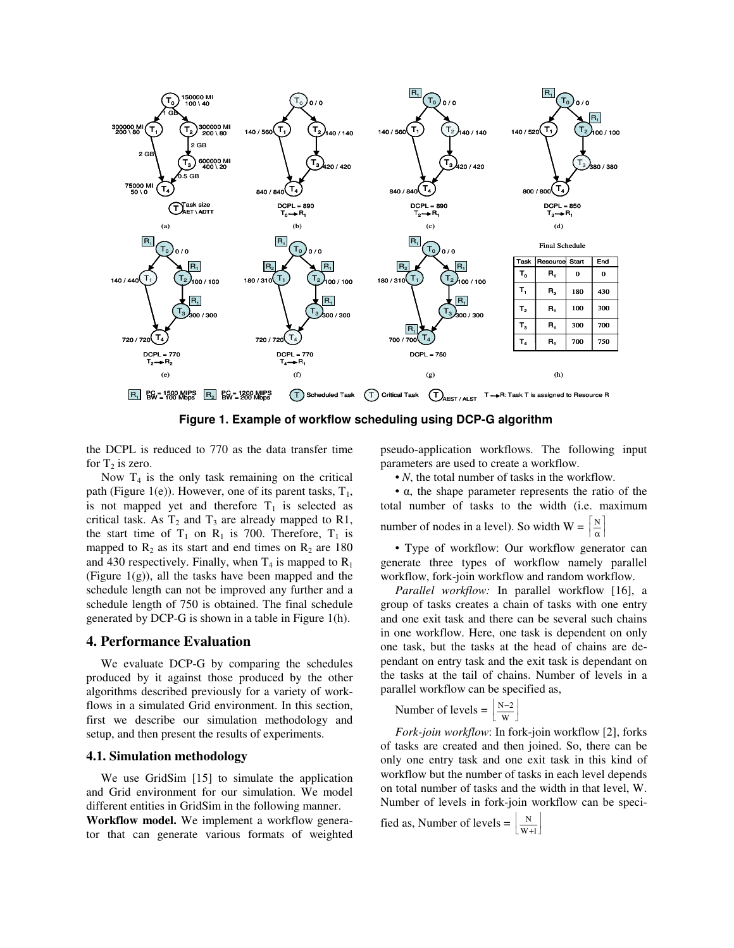

**Figure 1. Example of workflow scheduling using DCP-G algorithm** 

the DCPL is reduced to 770 as the data transfer time for  $T_2$  is zero.

Now  $T_4$  is the only task remaining on the critical path (Figure 1(e)). However, one of its parent tasks,  $T_1$ , is not mapped yet and therefore  $T_1$  is selected as critical task. As  $T_2$  and  $T_3$  are already mapped to R1, the start time of  $T_1$  on  $R_1$  is 700. Therefore,  $T_1$  is mapped to  $R_2$  as its start and end times on  $R_2$  are 180 and 430 respectively. Finally, when  $T_4$  is mapped to  $R_1$ (Figure 1(g)), all the tasks have been mapped and the schedule length can not be improved any further and a schedule length of 750 is obtained. The final schedule generated by DCP-G is shown in a table in Figure 1(h).

#### **4. Performance Evaluation**

We evaluate DCP-G by comparing the schedules produced by it against those produced by the other algorithms described previously for a variety of workflows in a simulated Grid environment. In this section, first we describe our simulation methodology and setup, and then present the results of experiments.

#### **4.1. Simulation methodology**

We use GridSim [15] to simulate the application and Grid environment for our simulation. We model different entities in GridSim in the following manner.

**Workflow model.** We implement a workflow generator that can generate various formats of weighted pseudo-application workflows. The following input parameters are used to create a workflow.

• *N*, the total number of tasks in the workflow.

• α, the shape parameter represents the ratio of the total number of tasks to the width (i.e. maximum number of nodes in a level). So width  $W = \left|\frac{N}{\alpha}\right|$ I 1 Г α N

• Type of workflow: Our workflow generator can generate three types of workflow namely parallel workflow, fork-join workflow and random workflow.

*Parallel workflow:* In parallel workflow [16], a group of tasks creates a chain of tasks with one entry and one exit task and there can be several such chains in one workflow. Here, one task is dependent on only one task, but the tasks at the head of chains are dependant on entry task and the exit task is dependant on the tasks at the tail of chains. Number of levels in a parallel workflow can be specified as,

Number of levels = 
$$
\left\lfloor \frac{N-2}{W} \right\rfloor
$$

*Fork-join workflow*: In fork-join workflow [2], forks of tasks are created and then joined. So, there can be only one entry task and one exit task in this kind of workflow but the number of tasks in each level depends on total number of tasks and the width in that level, W. Number of levels in fork-join workflow can be speci-

fied as, Number of levels =  $\frac{N}{W+1}$  $\left\lfloor \frac{N}{W+1} \right\rfloor$  $\mathbf{r}$  $W+1$ N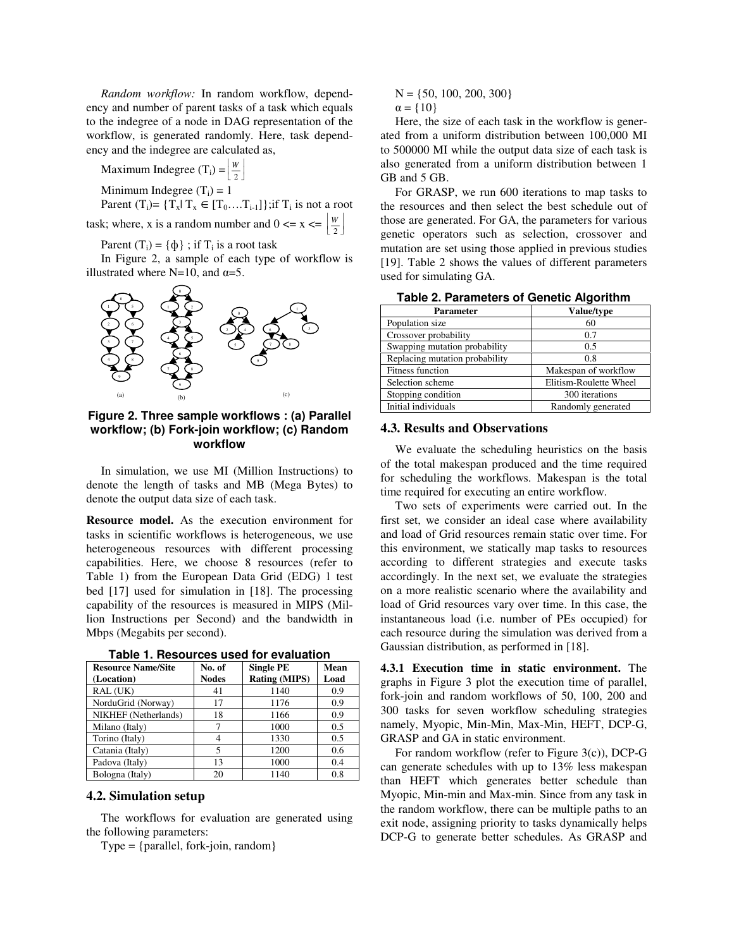*Random workflow:* In random workflow, dependency and number of parent tasks of a task which equals to the indegree of a node in DAG representation of the workflow, is generated randomly. Here, task dependency and the indegree are calculated as,

Maximum Indegree (T<sub>i</sub>) =  $\frac{w}{2}$  $\left\lfloor \frac{W}{2} \right\rfloor$ 2 *W*

Minimum Indegree  $(T_i) = 1$ 

Parent  $(T_i) = \{T_x | T_x \in [T_0...T_{i-1}]\}$ ; if  $T_i$  is not a root  $\frac{W}{2}$ L *W*

2

task; where, x is a random number and  $0 \le x \le \left\lfloor \frac{w}{2} \right\rfloor$ 

Parent  $(T_i) = \{\phi\}$ ; if  $T_i$  is a root task

In Figure 2, a sample of each type of workflow is illustrated where N=10, and  $\alpha$ =5.



**Figure 2. Three sample workflows : (a) Parallel workflow; (b) Fork-join workflow; (c) Random workflow** 

In simulation, we use MI (Million Instructions) to denote the length of tasks and MB (Mega Bytes) to denote the output data size of each task.

**Resource model.** As the execution environment for tasks in scientific workflows is heterogeneous, we use heterogeneous resources with different processing capabilities. Here, we choose 8 resources (refer to Table 1) from the European Data Grid (EDG) 1 test bed [17] used for simulation in [18]. The processing capability of the resources is measured in MIPS (Million Instructions per Second) and the bandwidth in Mbps (Megabits per second).

| <b>Resource Name/Site</b> | No. of       | <b>Single PE</b>     | Mean |
|---------------------------|--------------|----------------------|------|
| (Location)                | <b>Nodes</b> | <b>Rating (MIPS)</b> | Load |
| RAL (UK)                  | 41           | 1140                 | 0.9  |
| NorduGrid (Norway)        | 17           | 1176                 | 0.9  |
| NIKHEF (Netherlands)      | 18           | 1166                 | 0.9  |
| Milano (Italy)            |              | 1000                 | 0.5  |
| Torino (Italy)            | 4            | 1330                 | 0.5  |
| Catania (Italy)           | 5            | 1200                 | 0.6  |
| Padova (Italy)            | 13           | 1000                 | 0.4  |
| Bologna (Italy)           | 20           | 1140                 | 0.8  |

**Table 1. Resources used for evaluation** 

### **4.2. Simulation setup**

The workflows for evaluation are generated using the following parameters:

Type = {parallel, fork-join, random}

 $N = \{50, 100, 200, 300\}$  $\alpha = \{10\}$ 

Here, the size of each task in the workflow is generated from a uniform distribution between 100,000 MI to 500000 MI while the output data size of each task is also generated from a uniform distribution between 1 GB and 5 GB.

For GRASP, we run 600 iterations to map tasks to the resources and then select the best schedule out of those are generated. For GA, the parameters for various genetic operators such as selection, crossover and mutation are set using those applied in previous studies [19]. Table 2 shows the values of different parameters used for simulating GA.

| Parameter                      | Value/type             |  |
|--------------------------------|------------------------|--|
| Population size                | 60                     |  |
| Crossover probability          | 0.7                    |  |
| Swapping mutation probability  | 0.5                    |  |
| Replacing mutation probability | 0.8                    |  |
| <b>Fitness function</b>        | Makespan of workflow   |  |
| Selection scheme               | Elitism-Roulette Wheel |  |
| Stopping condition             | 300 iterations         |  |
| Initial individuals            | Randomly generated     |  |

**Table 2. Parameters of Genetic Algorithm** 

#### **4.3. Results and Observations**

We evaluate the scheduling heuristics on the basis of the total makespan produced and the time required for scheduling the workflows. Makespan is the total time required for executing an entire workflow.

Two sets of experiments were carried out. In the first set, we consider an ideal case where availability and load of Grid resources remain static over time. For this environment, we statically map tasks to resources according to different strategies and execute tasks accordingly. In the next set, we evaluate the strategies on a more realistic scenario where the availability and load of Grid resources vary over time. In this case, the instantaneous load (i.e. number of PEs occupied) for each resource during the simulation was derived from a Gaussian distribution, as performed in [18].

**4.3.1 Execution time in static environment.** The graphs in Figure 3 plot the execution time of parallel, fork-join and random workflows of 50, 100, 200 and 300 tasks for seven workflow scheduling strategies namely, Myopic, Min-Min, Max-Min, HEFT, DCP-G, GRASP and GA in static environment.

For random workflow (refer to Figure 3(c)), DCP-G can generate schedules with up to 13% less makespan than HEFT which generates better schedule than Myopic, Min-min and Max-min. Since from any task in the random workflow, there can be multiple paths to an exit node, assigning priority to tasks dynamically helps DCP-G to generate better schedules. As GRASP and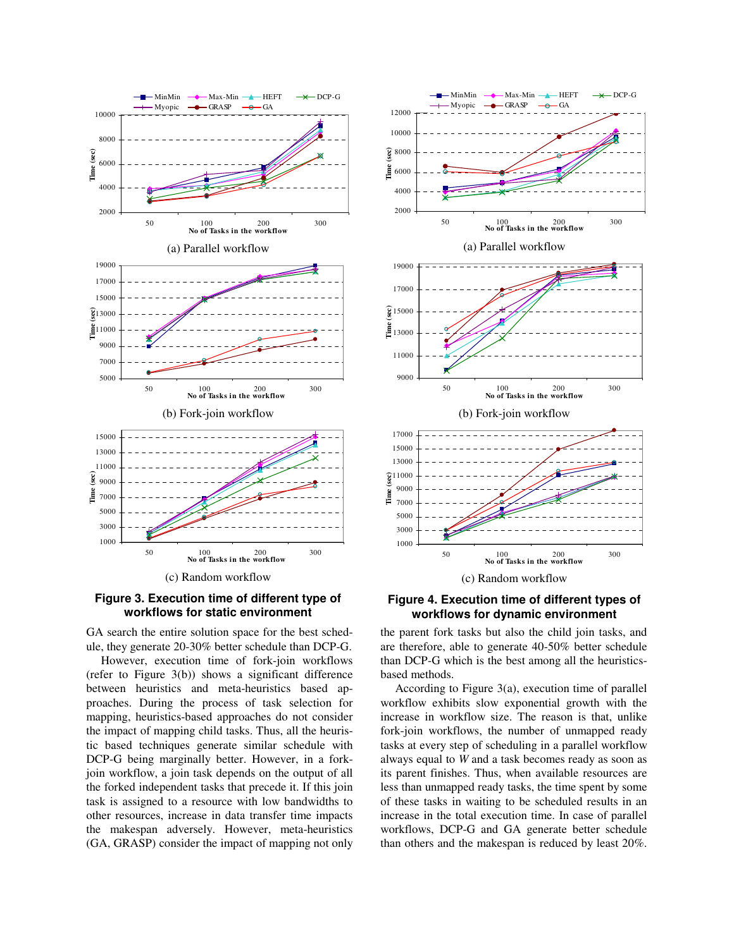



GA search the entire solution space for the best schedule, they generate 20-30% better schedule than DCP-G.

However, execution time of fork-join workflows (refer to Figure 3(b)) shows a significant difference between heuristics and meta-heuristics based approaches. During the process of task selection for mapping, heuristics-based approaches do not consider the impact of mapping child tasks. Thus, all the heuristic based techniques generate similar schedule with DCP-G being marginally better. However, in a forkjoin workflow, a join task depends on the output of all the forked independent tasks that precede it. If this join task is assigned to a resource with low bandwidths to other resources, increase in data transfer time impacts the makespan adversely. However, meta-heuristics (GA, GRASP) consider the impact of mapping not only



**Figure 4. Execution time of different types of workflows for dynamic environment** 

the parent fork tasks but also the child join tasks, and are therefore, able to generate 40-50% better schedule than DCP-G which is the best among all the heuristicsbased methods.

According to Figure 3(a), execution time of parallel workflow exhibits slow exponential growth with the increase in workflow size. The reason is that, unlike fork-join workflows, the number of unmapped ready tasks at every step of scheduling in a parallel workflow always equal to *W* and a task becomes ready as soon as its parent finishes. Thus, when available resources are less than unmapped ready tasks, the time spent by some of these tasks in waiting to be scheduled results in an increase in the total execution time. In case of parallel workflows, DCP-G and GA generate better schedule than others and the makespan is reduced by least 20%.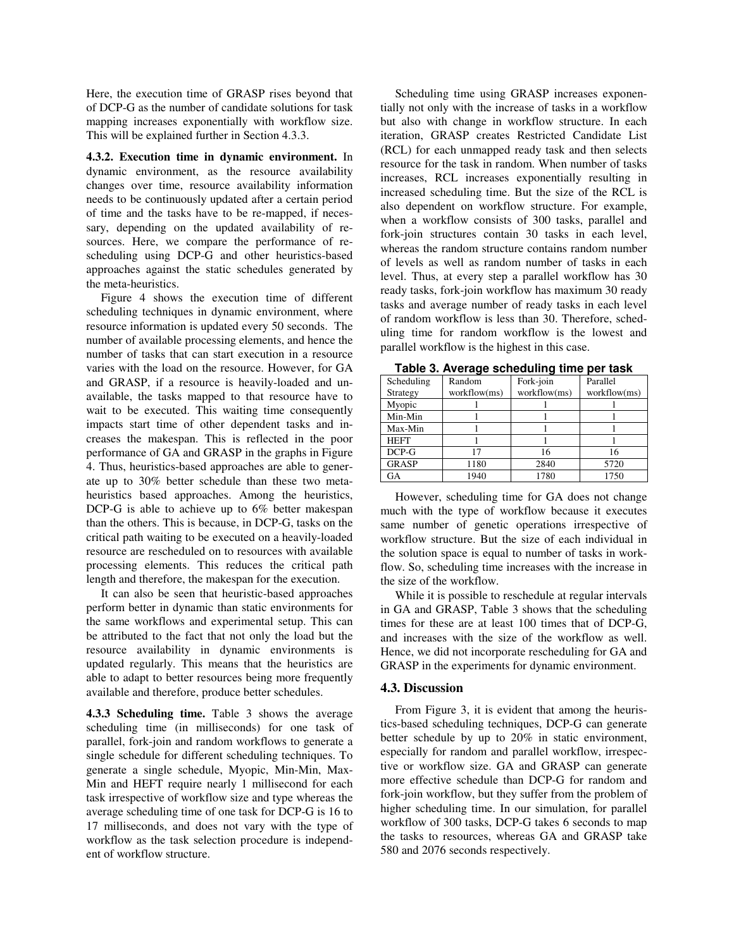Here, the execution time of GRASP rises beyond that of DCP-G as the number of candidate solutions for task mapping increases exponentially with workflow size. This will be explained further in Section 4.3.3.

**4.3.2. Execution time in dynamic environment.** In dynamic environment, as the resource availability changes over time, resource availability information needs to be continuously updated after a certain period of time and the tasks have to be re-mapped, if necessary, depending on the updated availability of resources. Here, we compare the performance of rescheduling using DCP-G and other heuristics-based approaches against the static schedules generated by the meta-heuristics.

Figure 4 shows the execution time of different scheduling techniques in dynamic environment, where resource information is updated every 50 seconds. The number of available processing elements, and hence the number of tasks that can start execution in a resource varies with the load on the resource. However, for GA and GRASP, if a resource is heavily-loaded and unavailable, the tasks mapped to that resource have to wait to be executed. This waiting time consequently impacts start time of other dependent tasks and increases the makespan. This is reflected in the poor performance of GA and GRASP in the graphs in Figure 4. Thus, heuristics-based approaches are able to generate up to 30% better schedule than these two metaheuristics based approaches. Among the heuristics, DCP-G is able to achieve up to 6% better makespan than the others. This is because, in DCP-G, tasks on the critical path waiting to be executed on a heavily-loaded resource are rescheduled on to resources with available processing elements. This reduces the critical path length and therefore, the makespan for the execution.

It can also be seen that heuristic-based approaches perform better in dynamic than static environments for the same workflows and experimental setup. This can be attributed to the fact that not only the load but the resource availability in dynamic environments is updated regularly. This means that the heuristics are able to adapt to better resources being more frequently available and therefore, produce better schedules.

**4.3.3 Scheduling time.** Table 3 shows the average scheduling time (in milliseconds) for one task of parallel, fork-join and random workflows to generate a single schedule for different scheduling techniques. To generate a single schedule, Myopic, Min-Min, Max-Min and HEFT require nearly 1 millisecond for each task irrespective of workflow size and type whereas the average scheduling time of one task for DCP-G is 16 to 17 milliseconds, and does not vary with the type of workflow as the task selection procedure is independent of workflow structure.

Scheduling time using GRASP increases exponentially not only with the increase of tasks in a workflow but also with change in workflow structure. In each iteration, GRASP creates Restricted Candidate List (RCL) for each unmapped ready task and then selects resource for the task in random. When number of tasks increases, RCL increases exponentially resulting in increased scheduling time. But the size of the RCL is also dependent on workflow structure. For example, when a workflow consists of 300 tasks, parallel and fork-join structures contain 30 tasks in each level, whereas the random structure contains random number of levels as well as random number of tasks in each level. Thus, at every step a parallel workflow has 30 ready tasks, fork-join workflow has maximum 30 ready tasks and average number of ready tasks in each level of random workflow is less than 30. Therefore, scheduling time for random workflow is the lowest and parallel workflow is the highest in this case.

| Scheduling   | Random       | Fork-join    | Parallel     |
|--------------|--------------|--------------|--------------|
| Strategy     | workflow(ms) | workflow(ms) | workflow(ms) |
| Myopic       |              |              |              |
| Min-Min      |              |              |              |
| Max-Min      |              |              |              |
| <b>HEFT</b>  |              |              |              |
| $DCP-G$      | 17           | 16           | 16           |
| <b>GRASP</b> | 1180         | 2840         | 5720         |
| GA           | 1940         | 1780         | 1750         |
|              |              |              |              |

**Table 3. Average scheduling time per task** 

However, scheduling time for GA does not change much with the type of workflow because it executes same number of genetic operations irrespective of workflow structure. But the size of each individual in the solution space is equal to number of tasks in workflow. So, scheduling time increases with the increase in the size of the workflow.

While it is possible to reschedule at regular intervals in GA and GRASP, Table 3 shows that the scheduling times for these are at least 100 times that of DCP-G, and increases with the size of the workflow as well. Hence, we did not incorporate rescheduling for GA and GRASP in the experiments for dynamic environment.

#### **4.3. Discussion**

From Figure 3, it is evident that among the heuristics-based scheduling techniques, DCP-G can generate better schedule by up to 20% in static environment, especially for random and parallel workflow, irrespective or workflow size. GA and GRASP can generate more effective schedule than DCP-G for random and fork-join workflow, but they suffer from the problem of higher scheduling time. In our simulation, for parallel workflow of 300 tasks, DCP-G takes 6 seconds to map the tasks to resources, whereas GA and GRASP take 580 and 2076 seconds respectively.